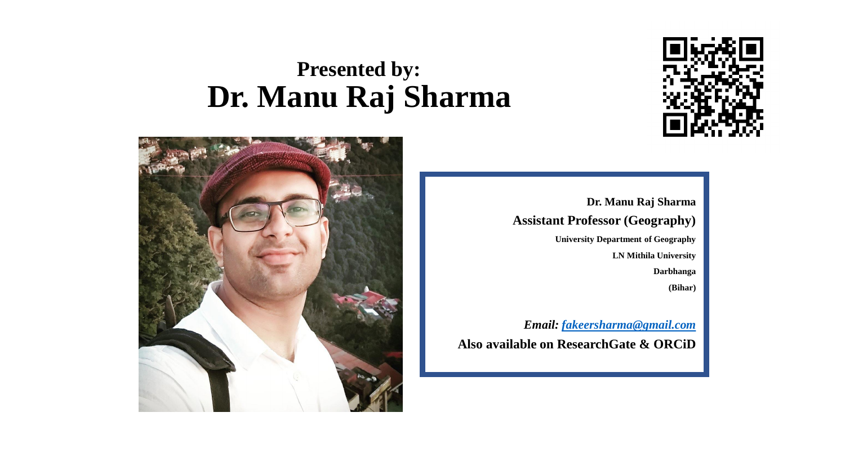## **Presented by: Dr. Manu Raj Sharma**





**Dr. Manu Raj Sharma Assistant Professor (Geography) University Department of Geography LN Mithila University Darbhanga (Bihar)**

*Email: [fakeersharma@gmail.com](mailto:fakeersharma@gmail.com)* **Also available on ResearchGate & ORCiD**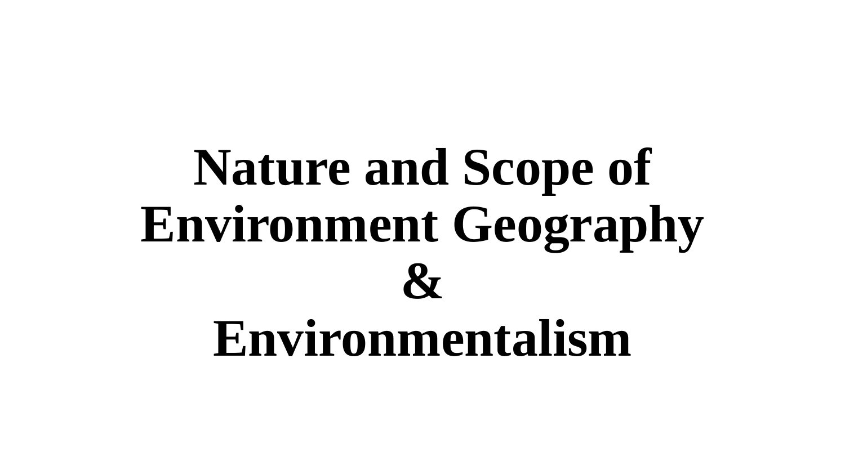# **Nature and Scope of Environment Geography & Environmentalism**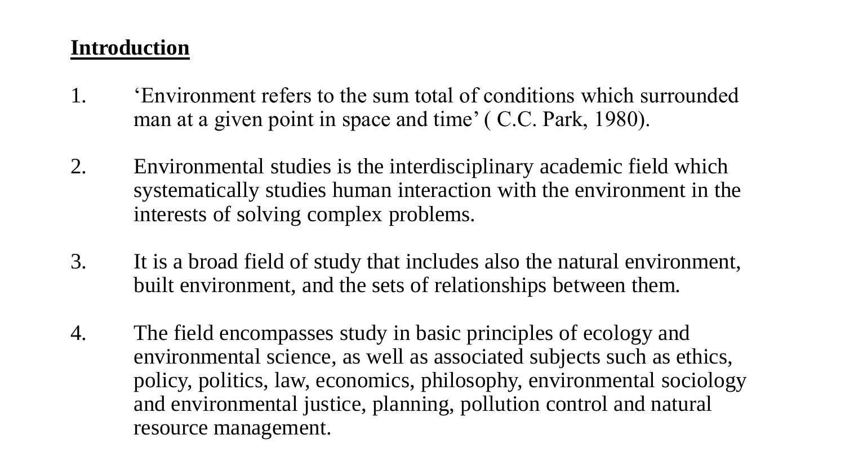#### **Introduction**

- 1. 'Environment refers to the sum total of conditions which surrounded man at a given point in space and time' ( C.C. Park, 1980).
- 2. Environmental studies is the interdisciplinary academic field which systematically studies human interaction with the environment in the interests of solving complex problems.
- 3. It is a broad field of study that includes also the natural environment, built environment, and the sets of relationships between them.
- 4. The field encompasses study in basic principles of ecology and environmental science, as well as associated subjects such as ethics, policy, politics, law, economics, philosophy, environmental sociology and environmental justice, planning, pollution control and natural resource management.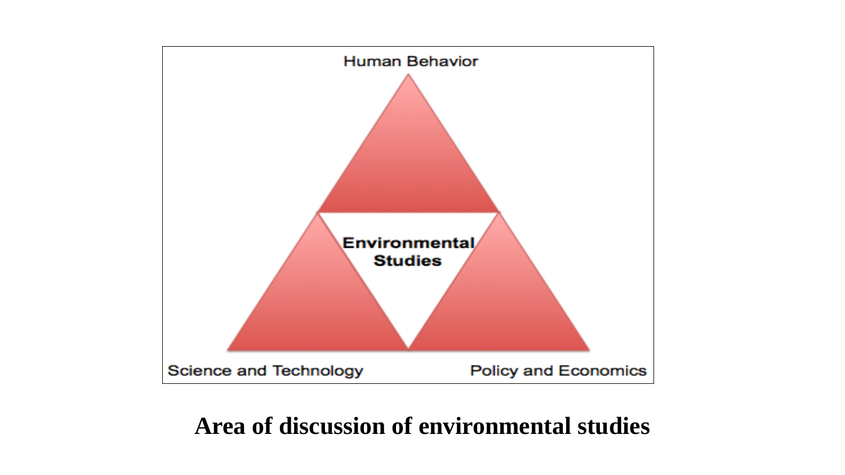

## **Area of discussion of environmental studies**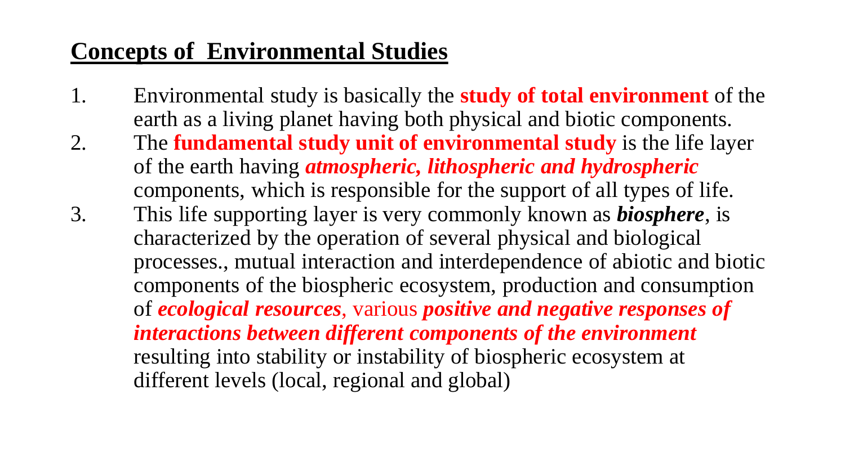# **Concepts of Environmental Studies**

- 1. Environmental study is basically the **study of total environment** of the earth as a living planet having both physical and biotic components.
- 2. The **fundamental study unit of environmental study** is the life layer of the earth having *atmospheric, lithospheric and hydrospheric* components, which is responsible for the support of all types of life.
- 3. This life supporting layer is very commonly known as *biosphere*, is characterized by the operation of several physical and biological processes., mutual interaction and interdependence of abiotic and biotic components of the biospheric ecosystem, production and consumption of *ecological resources*, various *positive and negative responses of interactions between different components of the environment*  resulting into stability or instability of biospheric ecosystem at different levels (local, regional and global)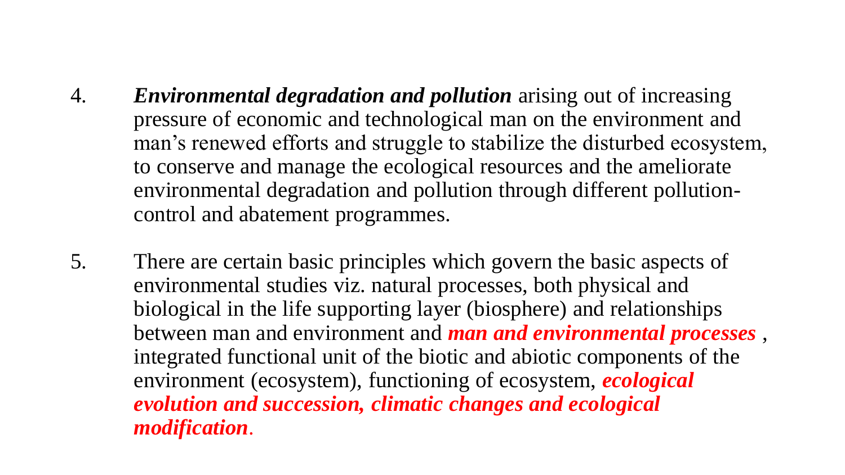- 4. *Environmental degradation and pollution* arising out of increasing pressure of economic and technological man on the environment and man's renewed efforts and struggle to stabilize the disturbed ecosystem, to conserve and manage the ecological resources and the ameliorate environmental degradation and pollution through different pollutioncontrol and abatement programmes.
- 5. There are certain basic principles which govern the basic aspects of environmental studies viz. natural processes, both physical and biological in the life supporting layer (biosphere) and relationships between man and environment and *man and environmental processes* , integrated functional unit of the biotic and abiotic components of the environment (ecosystem), functioning of ecosystem, *ecological evolution and succession, climatic changes and ecological modification*.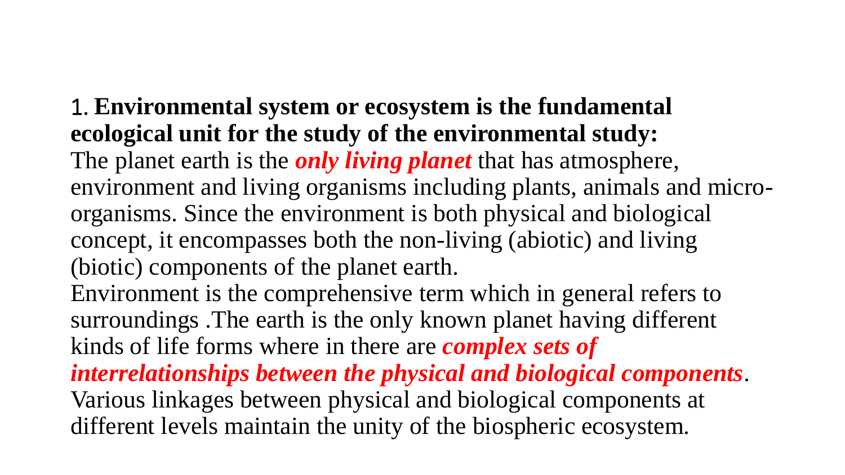1. **Environmental system or ecosystem is the fundamental ecological unit for the study of the environmental study:** The planet earth is the *only living planet* that has atmosphere, environment and living organisms including plants, animals and microorganisms. Since the environment is both physical and biological concept, it encompasses both the non-living (abiotic) and living (biotic) components of the planet earth. Environment is the comprehensive term which in general refers to surroundings .The earth is the only known planet having different kinds of life forms where in there are *complex sets of interrelationships between the physical and biological components*. Various linkages between physical and biological components at different levels maintain the unity of the biospheric ecosystem.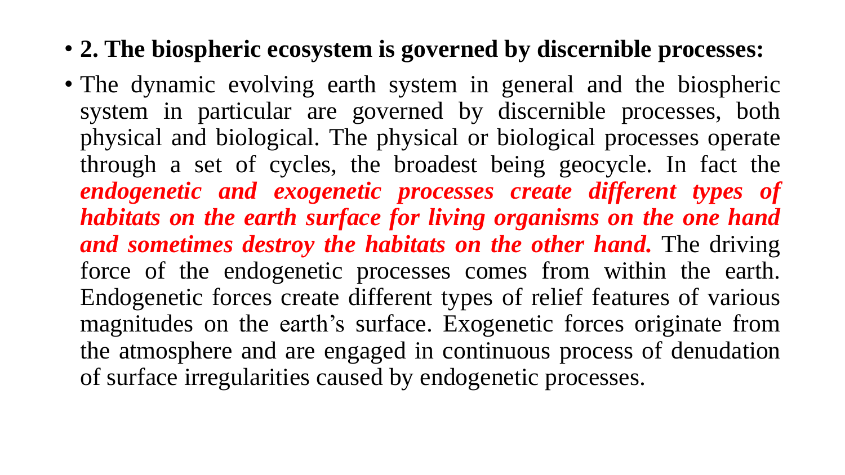- **2. The biospheric ecosystem is governed by discernible processes:**
- The dynamic evolving earth system in general and the biospheric system in particular are governed by discernible processes, both physical and biological. The physical or biological processes operate through a set of cycles, the broadest being geocycle. In fact the *endogenetic and exogenetic processes create different types of habitats on the earth surface for living organisms on the one hand and sometimes destroy the habitats on the other hand.* The driving force of the endogenetic processes comes from within the earth. Endogenetic forces create different types of relief features of various magnitudes on the earth's surface. Exogenetic forces originate from the atmosphere and are engaged in continuous process of denudation of surface irregularities caused by endogenetic processes.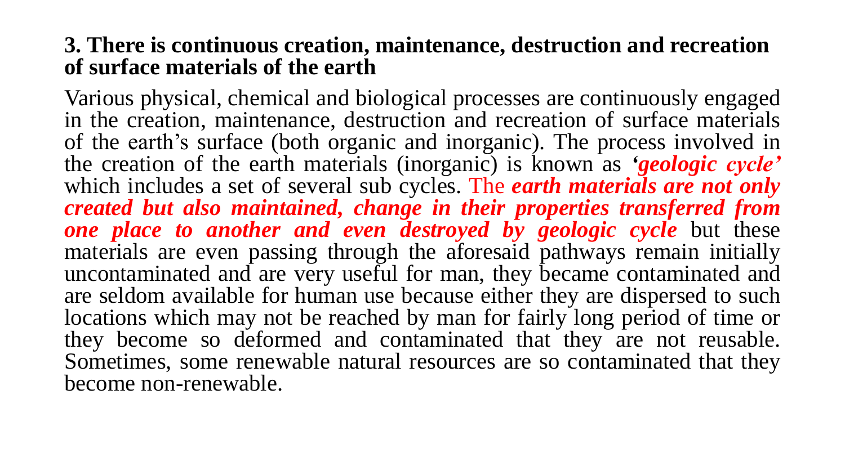#### **3. There is continuous creation, maintenance, destruction and recreation of surface materials of the earth**

Various physical, chemical and biological processes are continuously engaged in the creation, maintenance, destruction and recreation of surface materials of the earth's surface (both organic and inorganic). The process involved in the creation of the earth materials (inorganic) is known as *'geologic cycle'* which includes a set of several sub cycles. The *earth materials are not only created but also maintained, change in their properties transferred from one place to another and even destroyed by geologic cycle* but these materials are even passing through the aforesaid pathways remain initially uncontaminated and are very useful for man, they became contaminated and are seldom available for human use because either they are dispersed to such locations which may not be reached by man for fairly long period of time or they become so deformed and contaminated that they are not reusable. Sometimes, some renewable natural resources are so contaminated that they become non-renewable.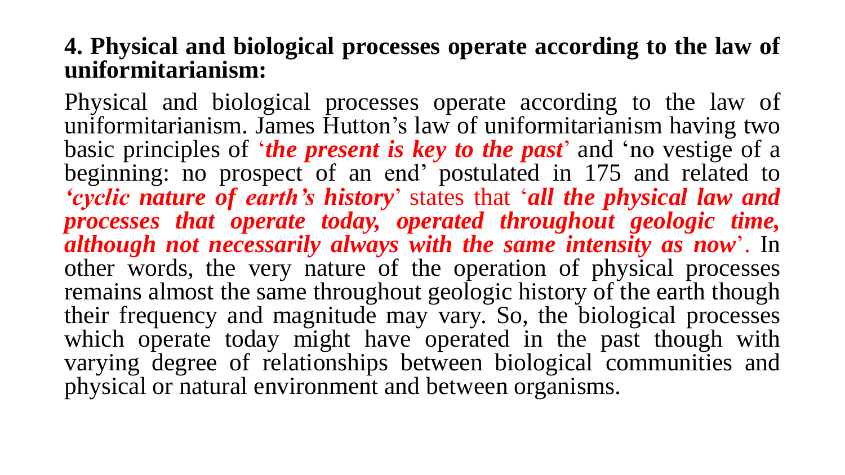#### **4. Physical and biological processes operate according to the law of uniformitarianism:**

Physical and biological processes operate according to the law of uniformitarianism. James Hutton's law of uniformitarianism having two basic principles of '*the present is key to the past*' and 'no vestige of a beginning: no prospect of an end' postulated in 175 and related to *'cyclic nature of earth's history*' states that '*all the physical law and processes that operate today, operated throughout geologic time, although not necessarily always with the same intensity as now*'. In other words, the very nature of the operation of physical processes remains almost the same throughout geologic history of the earth though their frequency and magnitude may vary. So, the biological processes which operate today might have operated in the past though with varying degree of relationships between biological communities and physical or natural environment and between organisms.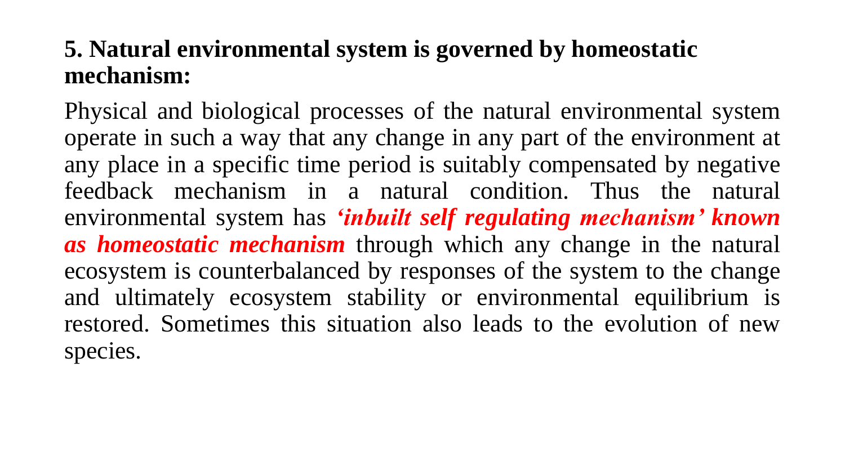## **5. Natural environmental system is governed by homeostatic mechanism:**

Physical and biological processes of the natural environmental system operate in such a way that any change in any part of the environment at any place in a specific time period is suitably compensated by negative feedback mechanism in a natural condition. Thus the natural environmental system has *'inbuilt self regulating mechanism' known as homeostatic mechanism* through which any change in the natural ecosystem is counterbalanced by responses of the system to the change and ultimately ecosystem stability or environmental equilibrium is restored. Sometimes this situation also leads to the evolution of new species.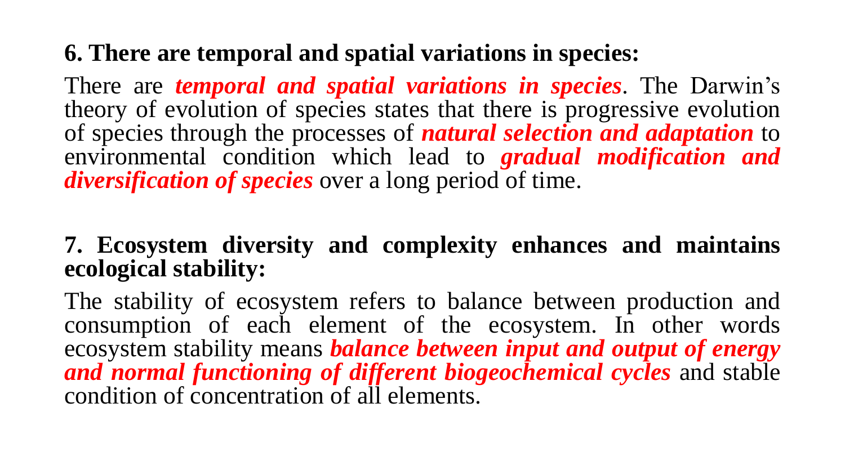## **6. There are temporal and spatial variations in species:**

There are *temporal and spatial variations in species*. The Darwin's theory of evolution of species states that there is progressive evolution of species through the processes of *natural selection and adaptation* to environmental condition which lead to *gradual modification and diversification of species* over a long period of time.

### **7. Ecosystem diversity and complexity enhances and maintains ecological stability:**

The stability of ecosystem refers to balance between production and consumption of each element of the ecosystem. In other words ecosystem stability means *balance between input and output of energy and normal functioning of different biogeochemical cycles* and stable condition of concentration of all elements.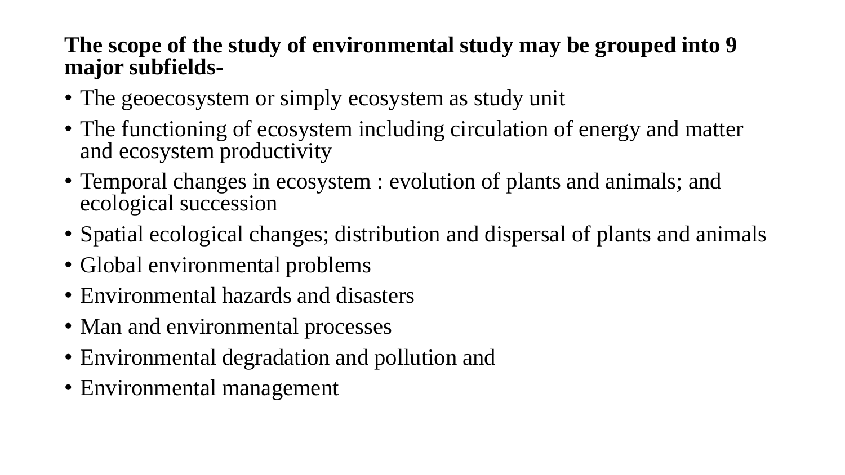#### **The scope of the study of environmental study may be grouped into 9 major subfields-**

- The geoecosystem or simply ecosystem as study unit
- The functioning of ecosystem including circulation of energy and matter and ecosystem productivity
- Temporal changes in ecosystem : evolution of plants and animals; and ecological succession
- Spatial ecological changes; distribution and dispersal of plants and animals
- Global environmental problems
- Environmental hazards and disasters
- Man and environmental processes
- Environmental degradation and pollution and
- Environmental management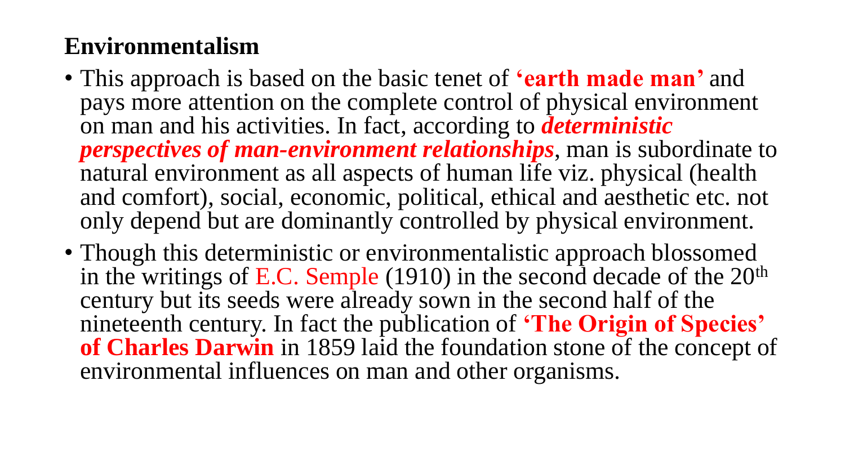# **Environmentalism**

- This approach is based on the basic tenet of **'earth made man'** and pays more attention on the complete control of physical environment on man and his activities. In fact, according to *deterministic perspectives of man-environment relationships*, man is subordinate to natural environment as all aspects of human life viz. physical (health and comfort), social, economic, political, ethical and aesthetic etc. not only depend but are dominantly controlled by physical environment.
- Though this deterministic or environmentalistic approach blossomed in the writings of E.C. Semple (1910) in the second decade of the  $20<sup>th</sup>$ century but its seeds were already sown in the second half of the nineteenth century. In fact the publication of **'The Origin of Species' of Charles Darwin** in 1859 laid the foundation stone of the concept of environmental influences on man and other organisms.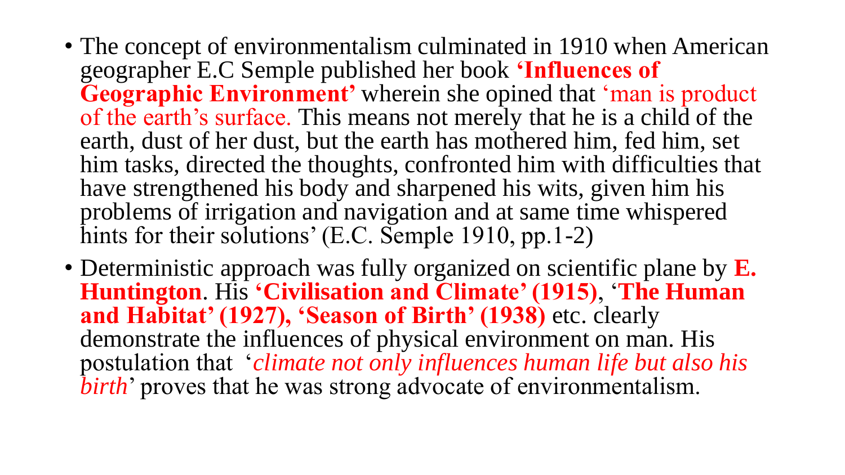- The concept of environmentalism culminated in 1910 when American geographer E.C Semple published her book **'Influences of Geographic Environment'** wherein she opined that 'man is product of the earth's surface. This means not merely that he is a child of the earth, dust of her dust, but the earth has mothered him, fed him, set him tasks, directed the thoughts, confronted him with difficulties that have strengthened his body and sharpened his wits, given him his problems of irrigation and navigation and at same time whispered hints for their solutions' (E.C. Semple 1910, pp.1-2)
- Deterministic approach was fully organized on scientific plane by **E. Huntington**. His **'Civilisation and Climate' (1915)**, '**The Human and Habitat' (1927), 'Season of Birth' (1938)** etc. clearly demonstrate the influences of physical environment on man. His postulation that '*climate not only influences human life but also his birth*' proves that he was strong advocate of environmentalism.